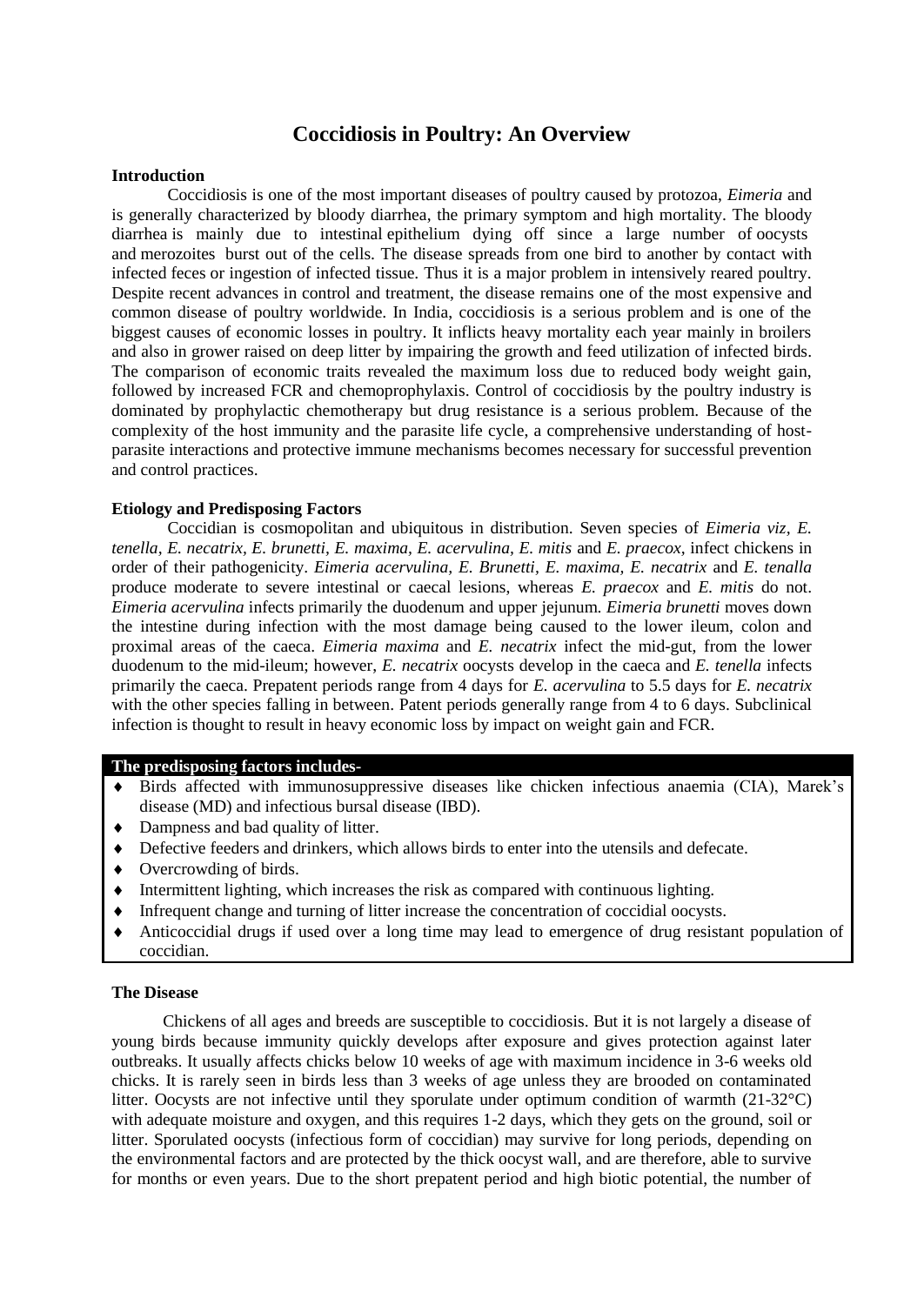# **Coccidiosis in Poultry: An Overview**

### **Introduction**

Coccidiosis is one of the most important diseases of poultry caused by protozoa, *Eimeria* and is generally characterized by bloody diarrhea, the primary symptom and high mortality. The bloody diarrhea is mainly due to intestinal epithelium dying off since a large number of [oocysts](http://en.wikipedia.org/wiki/Oocyst) and [merozoites](http://en.wikipedia.org/wiki/Merozoite) burst out of the cells. The disease spreads from one bird to another by contact with infected feces or ingestion of infected tissue. Thus it is a major problem in intensively reared poultry. Despite recent advances in control and treatment, the disease remains one of the most expensive and common disease of poultry worldwide. In India, coccidiosis is a serious problem and is one of the biggest causes of economic losses in poultry. It inflicts heavy mortality each year mainly in broilers and also in grower raised on deep litter by impairing the growth and feed utilization of infected birds. The comparison of economic traits revealed the maximum loss due to reduced body weight gain, followed by increased FCR and chemoprophylaxis. Control of coccidiosis by the poultry industry is dominated by prophylactic chemotherapy but drug resistance is a serious problem. Because of the complexity of the host immunity and the parasite life cycle, a comprehensive understanding of hostparasite interactions and protective immune mechanisms becomes necessary for successful prevention and control practices.

### **Etiology and Predisposing Factors**

Coccidian is cosmopolitan and ubiquitous in distribution. Seven species of *Eimeria viz, E. tenella, E. necatrix, E. brunetti, E. maxima, E. acervulina, E. mitis* and *E. praecox,* infect chickens in order of their pathogenicity. *Eimeria acervulina, E. Brunetti, E. maxima, E. necatrix* and *E. tenalla*  produce moderate to severe intestinal or caecal lesions, whereas *E. praecox* and *E. mitis* do not. *Eimeria acervulina* infects primarily the duodenum and upper jejunum. *Eimeria brunetti* moves down the intestine during infection with the most damage being caused to the lower ileum, colon and proximal areas of the caeca. *Eimeria maxima* and *E. necatrix* infect the mid-gut, from the lower duodenum to the mid-ileum; however, *E. necatrix* oocysts develop in the caeca and *E. tenella* infects primarily the caeca. Prepatent periods range from 4 days for *E. acervulina* to 5.5 days for *E. necatrix*  with the other species falling in between. Patent periods generally range from 4 to 6 days. Subclinical infection is thought to result in heavy economic loss by impact on weight gain and FCR.

#### **The predisposing factors includes-**

- Birds affected with immunosuppressive diseases like chicken infectious anaemia (CIA), Marek's disease (MD) and infectious bursal disease (IBD).
- Dampness and bad quality of litter.
- Defective feeders and drinkers, which allows birds to enter into the utensils and defecate.
- Overcrowding of birds.
- Intermittent lighting, which increases the risk as compared with continuous lighting.
- Infrequent change and turning of litter increase the concentration of coccidial oocysts.
- Anticoccidial drugs if used over a long time may lead to emergence of drug resistant population of coccidian.

## **The Disease**

 Chickens of all ages and breeds are susceptible to coccidiosis. But it is not largely a disease of young birds because immunity quickly develops after exposure and gives protection against later outbreaks. It usually affects chicks below 10 weeks of age with maximum incidence in 3-6 weeks old chicks. It is rarely seen in birds less than 3 weeks of age unless they are brooded on contaminated litter. Oocysts are not infective until they sporulate under optimum condition of warmth (21-32°C) with adequate moisture and oxygen, and this requires 1-2 days, which they gets on the ground, soil or litter. Sporulated oocysts (infectious form of coccidian) may survive for long periods, depending on the environmental factors and are protected by the thick oocyst wall, and are therefore, able to survive for months or even years. Due to the short prepatent period and high biotic potential, the number of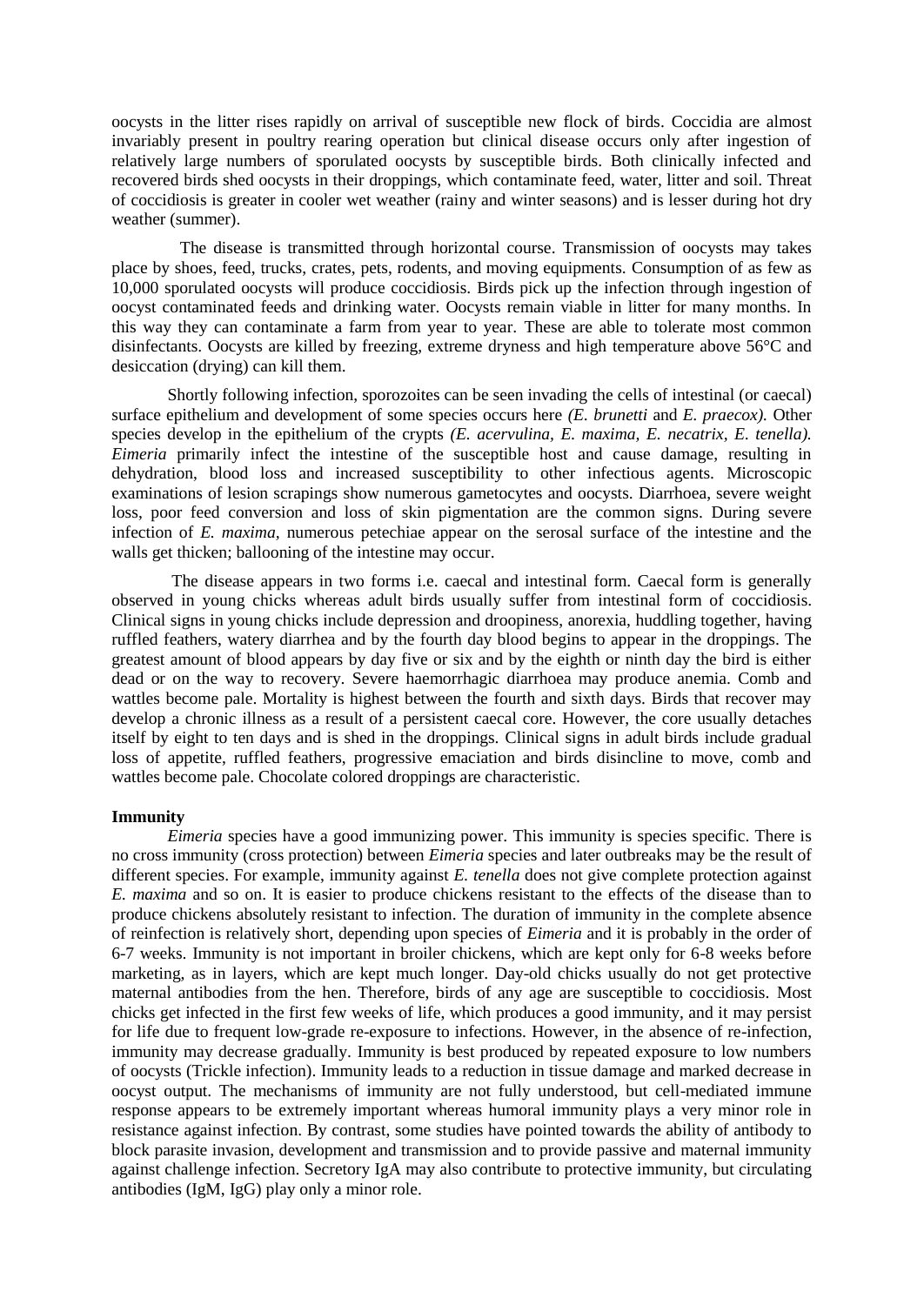oocysts in the litter rises rapidly on arrival of susceptible new flock of birds. Coccidia are almost invariably present in poultry rearing operation but clinical disease occurs only after ingestion of relatively large numbers of sporulated oocysts by susceptible birds. Both clinically infected and recovered birds shed oocysts in their droppings, which contaminate feed, water, litter and soil. Threat of coccidiosis is greater in cooler wet weather (rainy and winter seasons) and is lesser during hot dry weather (summer).

 The disease is transmitted through horizontal course. Transmission of oocysts may takes place by shoes, feed, trucks, crates, pets, rodents, and moving equipments. Consumption of as few as 10,000 sporulated oocysts will produce coccidiosis. Birds pick up the infection through ingestion of oocyst contaminated feeds and drinking water. Oocysts remain viable in litter for many months. In this way they can contaminate a farm from year to year. These are able to tolerate most common disinfectants. Oocysts are killed by freezing, extreme dryness and high temperature above 56°C and desiccation (drying) can kill them.

Shortly following infection, sporozoites can be seen invading the cells of intestinal (or caecal) surface epithelium and development of some species occurs here *(E. brunetti* and *E. praecox).* Other species develop in the epithelium of the crypts *(E. acervulina, E. maxima, E. necatrix, E. tenella). Eimeria* primarily infect the intestine of the susceptible host and cause damage, resulting in dehydration, blood loss and increased susceptibility to other infectious agents. Microscopic examinations of lesion scrapings show numerous gametocytes and oocysts. Diarrhoea, severe weight loss, poor feed conversion and loss of skin pigmentation are the common signs. During severe infection of *E. maxima,* numerous petechiae appear on the serosal surface of the intestine and the walls get thicken; ballooning of the intestine may occur.

The disease appears in two forms i.e. caecal and intestinal form. Caecal form is generally observed in young chicks whereas adult birds usually suffer from intestinal form of [coccidiosis.](http://en.engormix.com/MA-poultry-industry/health/articles/coccidiosis-poultry-review-t1529/165-p0.htm) Clinical signs in young chicks include depression and droopiness, anorexia, huddling together, having ruffled feathers, watery diarrhea and by the fourth day blood begins to appear in the droppings. The greatest amount of blood appears by day five or six and by the eighth or ninth day the bird is either dead or on the way to recovery. Severe haemorrhagic diarrhoea may produce anemia. Comb and wattles become pale. Mortality is highest between the fourth and sixth days. Birds that recover may develop a chronic illness as a result of a persistent caecal core. However, the core usually detaches itself by eight to ten days and is shed in the droppings. Clinical signs in adult birds include gradual loss of appetite, ruffled feathers, progressive emaciation and birds disincline to move, comb and wattles become pale. Chocolate colored droppings are characteristic.

#### **Immunity**

*Eimeria* species have a good immunizing power. This immunity is species specific. There is no cross immunity (cross protection) between *Eimeria* species and later outbreaks may be the result of different species. For example, immunity against *E. tenella* does not give complete protection against *E. maxima* and so on. It is easier to produce chickens resistant to the effects of the disease than to produce chickens absolutely resistant to infection. The duration of immunity in the complete absence of reinfection is relatively short, depending upon species of *Eimeria* and it is probably in the order of 6-7 weeks. Immunity is not important in broiler chickens, which are kept only for 6-8 weeks before marketing, as in layers, which are kept much longer. Day-old chicks usually do not get protective maternal antibodies from the hen. Therefore, birds of any age are susceptible to coccidiosis. Most chicks get infected in the first few weeks of life, which produces a good immunity, and it may persist for life due to frequent low-grade re-exposure to infections. However, in the absence of re-infection, immunity may decrease gradually. Immunity is best produced by repeated exposure to low numbers of oocysts (Trickle infection). Immunity leads to a reduction in tissue damage and marked decrease in oocyst output. The mechanisms of immunity are not fully understood, but cell-mediated immune response appears to be extremely important whereas humoral immunity plays a very minor role in resistance against infection. By contrast, some studies have pointed towards the ability of antibody to block parasite invasion, development and transmission and to provide passive and maternal immunity against challenge infection. Secretory IgA may also contribute to protective immunity, but circulating antibodies (IgM, IgG) play only a minor role.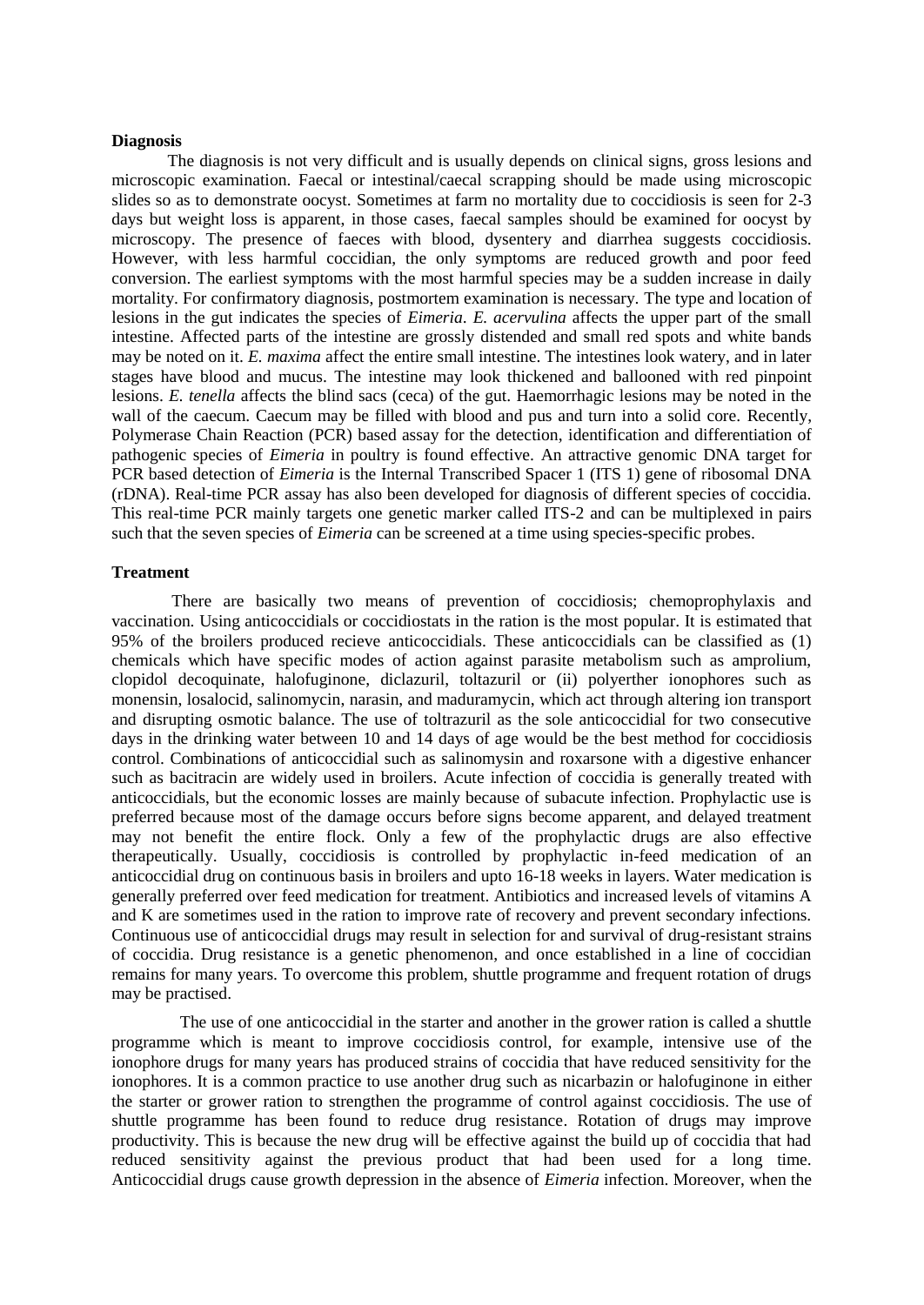#### **Diagnosis**

The diagnosis is not very difficult and is usually depends on clinical signs, gross lesions and microscopic examination. Faecal or intestinal/caecal scrapping should be made using microscopic slides so as to demonstrate oocyst. Sometimes at farm no mortality due to coccidiosis is seen for 2-3 days but weight loss is apparent, in those cases, faecal samples should be examined for oocyst by microscopy. The presence of faeces with blood, dysentery and diarrhea suggests coccidiosis. However, with less harmful coccidian, the only symptoms are reduced growth and poor feed conversion. The earliest symptoms with the most harmful species may be a sudden increase in daily mortality. For confirmatory diagnosis, postmortem examination is necessary. The type and location of lesions in the gut indicates the species of *Eimeria*. *E. acervulina* affects the upper part of the small intestine. Affected parts of the intestine are grossly distended and small red spots and white bands may be noted on it. *E. maxima* affect the entire small intestine. The intestines look watery, and in later stages have blood and mucus. The intestine may look thickened and ballooned with red pinpoint lesions. *E. tenella* affects the blind sacs (ceca) of the gut. Haemorrhagic lesions may be noted in the wall of the caecum. Caecum may be filled with blood and pus and turn into a solid core. Recently, Polymerase Chain Reaction (PCR) based assay for the detection, identification and differentiation of pathogenic species of *Eimeria* in poultry is found effective. An attractive genomic DNA target for PCR based detection of *Eimeria* is the Internal Transcribed Spacer 1 (ITS 1) gene of ribosomal DNA (rDNA). Real-time PCR assay has also been developed for diagnosis of different species of coccidia. This real-time PCR mainly targets one genetic marker called ITS-2 and can be multiplexed in pairs such that the seven species of *Eimeria* can be screened at a time using species-specific probes.

## **Treatment**

There are basically two means of prevention of coccidiosis; chemoprophylaxis and vaccination. Using anticoccidials or coccidiostats in the ration is the most popular. It is estimated that 95% of the broilers produced recieve anticoccidials. These anticoccidials can be classified as (1) chemicals which have specific modes of action against parasite metabolism such as amprolium, clopidol decoquinate, halofuginone, diclazuril, toltazuril or (ii) polyerther ionophores such as monensin, losalocid, salinomycin, narasin, and maduramycin, which act through altering ion transport and disrupting osmotic balance. The use of toltrazuril as the sole anticoccidial for two consecutive days in the drinking water between 10 and 14 days of age would be the best method for coccidiosis control. Combinations of anticoccidial such as salinomysin and roxarsone with a digestive enhancer such as bacitracin are widely used in broilers. Acute infection of coccidia is generally treated with anticoccidials, but the economic losses are mainly because of subacute infection. Prophylactic use is preferred because most of the damage occurs before signs become apparent, and delayed treatment may not benefit the entire flock. Only a few of the prophylactic drugs are also effective therapeutically. Usually, coccidiosis is controlled by prophylactic in-feed medication of an anticoccidial drug on continuous basis in broilers and upto 16-18 weeks in layers. Water medication is generally preferred over feed medication for treatment. Antibiotics and increased levels of vitamins A and K are sometimes used in the ration to improve rate of recovery and prevent secondary infections. Continuous use of anticoccidial drugs may result in selection for and survival of drug-resistant strains of coccidia. Drug resistance is a genetic phenomenon, and once established in a line of coccidian remains for many years. To overcome this problem, shuttle programme and frequent rotation of drugs may be practised.

 The use of one anticoccidial in the starter and another in the grower ration is called a shuttle programme which is meant to improve [coccidiosis](http://en.engormix.com/MA-poultry-industry/health/articles/coccidiosis-poultry-review-t1529/165-p0.htm) control, for example, intensive use of the ionophore drugs for many years has produced strains of coccidia that have reduced sensitivity for the ionophores. It is a common practice to use another drug such as nicarbazin or halofuginone in either the starter or grower ration to strengthen the programme of control against [coccidiosis.](http://en.engormix.com/MA-poultry-industry/health/articles/coccidiosis-poultry-review-t1529/165-p0.htm) The use of shuttle programme has been found to reduce drug resistance. Rotation of drugs may improve productivity. This is because the new drug will be effective against the build up of coccidia that had reduced sensitivity against the previous product that had been used for a long time. Anticoccidial drugs cause growth depression in the absence of *Eimeria* infection. Moreover, when the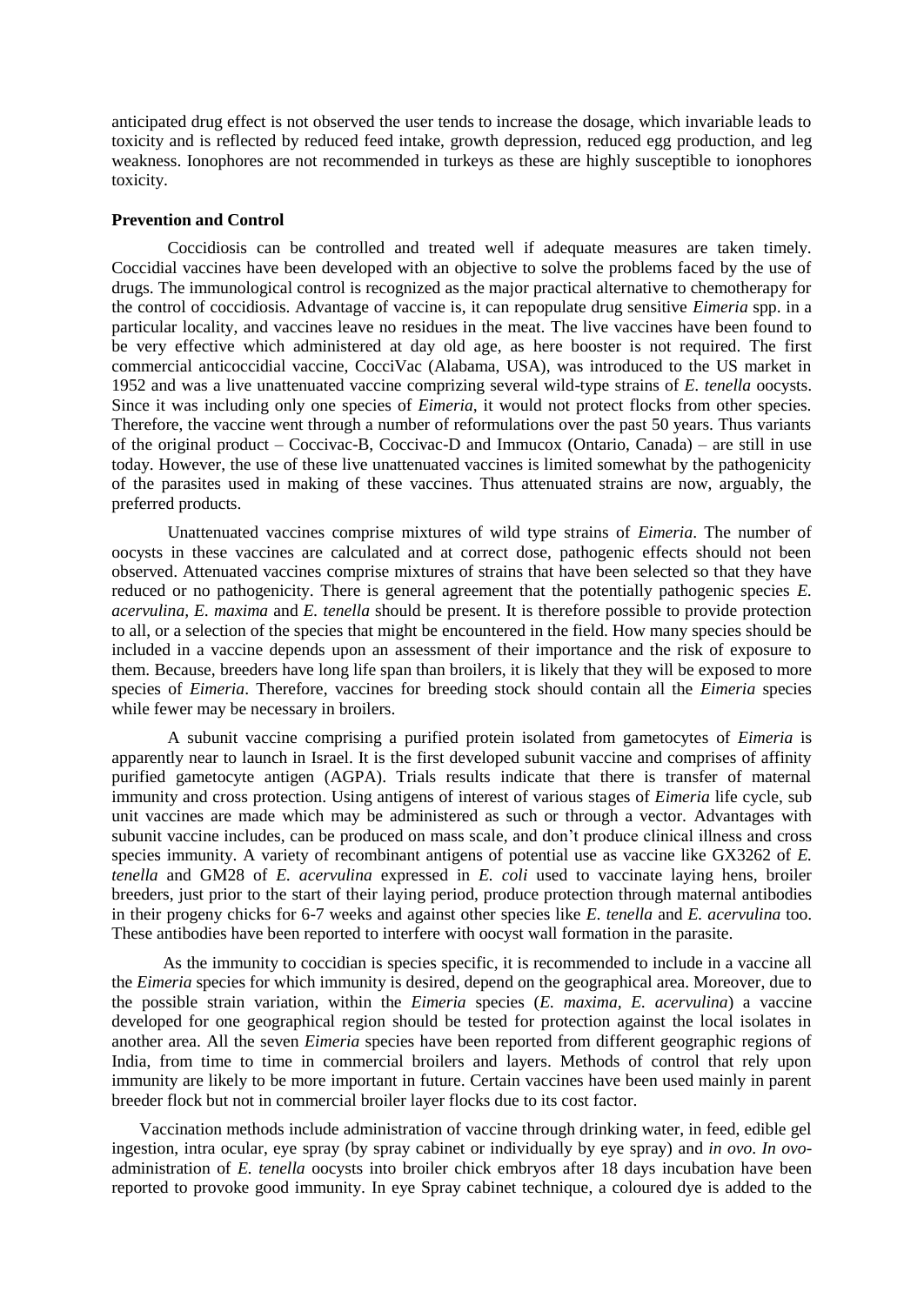anticipated drug effect is not observed the user tends to increase the dosage, which invariable leads to toxicity and is reflected by reduced feed intake, growth depression, reduced egg production, and leg weakness. Ionophores are not recommended in turkeys as these are highly susceptible to ionophores toxicity.

## **Prevention and Control**

Coccidiosis can be controlled and treated well if adequate measures are taken timely. Coccidial vaccines have been developed with an objective to solve the problems faced by the use of drugs. The immunological control is recognized as the major practical alternative to chemotherapy for the control of coccidiosis. Advantage of vaccine is, it can repopulate drug sensitive *Eimeria* spp. in a particular locality, and vaccines leave no residues in the meat. The live vaccines have been found to be very effective which administered at day old age, as here booster is not required. The first commercial anticoccidial vaccine, CocciVac (Alabama, USA), was introduced to the US market in 1952 and was a live unattenuated vaccine comprizing several wild-type strains of *E. tenella* oocysts. Since it was including only one species of *Eimeria*, it would not protect flocks from other species. Therefore, the vaccine went through a number of reformulations over the past 50 years. Thus variants of the original product – Coccivac-B, Coccivac-D and Immucox (Ontario, Canada) – are still in use today. However, the use of these live unattenuated vaccines is limited somewhat by the pathogenicity of the parasites used in making of these vaccines. Thus attenuated strains are now, arguably, the preferred products.

Unattenuated vaccines comprise mixtures of wild type strains of *Eimeria*. The number of oocysts in these vaccines are calculated and at correct dose, pathogenic effects should not been observed. Attenuated vaccines comprise mixtures of strains that have been selected so that they have reduced or no pathogenicity. There is general agreement that the potentially pathogenic species *E. acervulina, E. maxima* and *E. tenella* should be present. It is therefore possible to provide protection to all, or a selection of the species that might be encountered in the field. How many species should be included in a vaccine depends upon an assessment of their importance and the risk of exposure to them. Because, breeders have long life span than broilers, it is likely that they will be exposed to more species of *Eimeria*. Therefore, vaccines for breeding stock should contain all the *Eimeria* species while fewer may be necessary in broilers.

A subunit vaccine comprising a purified protein isolated from gametocytes of *Eimeria* is apparently near to launch in Israel. It is the first developed subunit vaccine and comprises of affinity purified gametocyte antigen (AGPA). Trials results indicate that there is transfer of maternal immunity and cross protection. Using antigens of interest of various stages of *Eimeria* life cycle, sub unit vaccines are made which may be administered as such or through a vector. Advantages with subunit vaccine includes, can be produced on mass scale, and don't produce clinical illness and cross species immunity. A variety of recombinant antigens of potential use as vaccine like GX3262 of *E. tenella* and GM28 of *E. acervulina* expressed in *E. coli* used to vaccinate laying hens, broiler breeders, just prior to the start of their laying period, produce protection through maternal antibodies in their progeny chicks for 6-7 weeks and against other species like *E. tenella* and *E. acervulina* too. These antibodies have been reported to interfere with oocyst wall formation in the parasite.

 As the immunity to coccidian is species specific, it is recommended to include in a vaccine all the *Eimeria* species for which immunity is desired, depend on the geographical area. Moreover, due to the possible strain variation, within the *Eimeria* species (*E. maxima, E. acervulina*) a vaccine developed for one geographical region should be tested for protection against the local isolates in another area. All the seven *Eimeria* species have been reported from different geographic regions of India, from time to time in commercial broilers and layers. Methods of control that rely upon immunity are likely to be more important in future. Certain vaccines have been used mainly in parent breeder flock but not in commercial broiler layer flocks due to its cost factor.

Vaccination methods include administration of vaccine through drinking water, in feed, edible gel ingestion, intra ocular, eye spray (by spray cabinet or individually by eye spray) and *in ovo*. *In ovo*administration of *E. tenella* oocysts into broiler chick embryos after 18 days incubation have been reported to provoke good immunity. In eye Spray cabinet technique, a coloured dye is added to the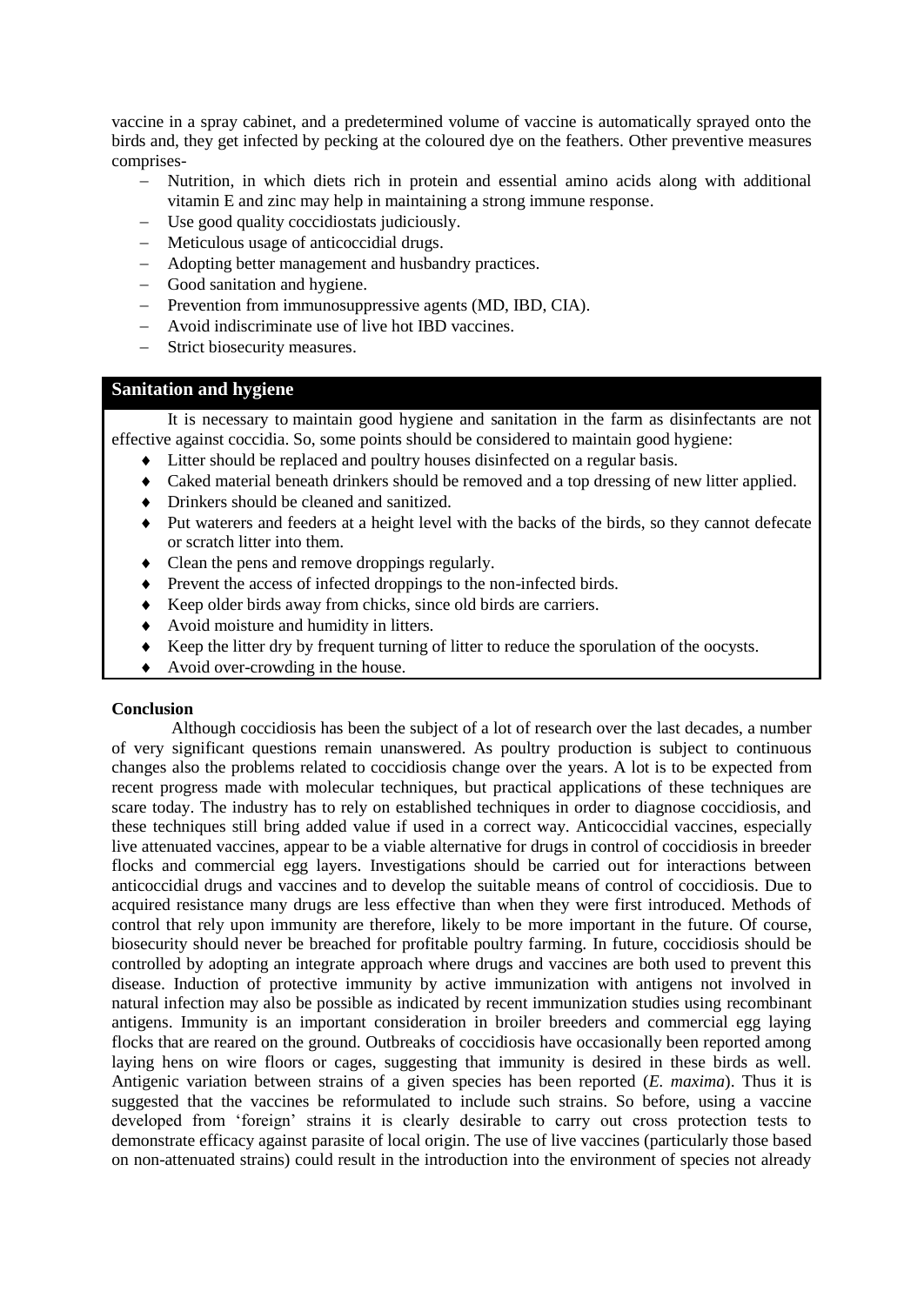vaccine in a spray cabinet, and a predetermined volume of vaccine is automatically sprayed onto the birds and, they get infected by pecking at the coloured dye on the feathers. Other preventive measures comprises-

- Nutrition, in which diets rich in protein and essential amino acids along with additional vitamin E and zinc may help in maintaining a strong immune response.
- Use good quality coccidiostats judiciously.
- Meticulous usage of anticoccidial drugs.
- Adopting better management and husbandry practices.
- Good sanitation and hygiene.
- Prevention from immunosuppressive agents (MD, IBD, CIA).
- Avoid indiscriminate use of live hot IBD vaccines.
- Strict biosecurity measures.

# **Sanitation and hygiene**

It is necessary to maintain good hygiene and sanitation in the farm as disinfectants are not effective against coccidia. So, some points should be considered to maintain good hygiene:

- Litter should be replaced and poultry houses disinfected on a regular basis.
- Caked material beneath drinkers should be removed and a top dressing of new litter applied.
- Drinkers should be cleaned and sanitized.
- Put waterers and feeders at a height level with the backs of the birds, so they cannot defecate or scratch litter into them.
- Clean the pens and remove droppings regularly.
- Prevent the access of infected droppings to the non-infected birds.
- Keep older birds away from chicks, since old birds are carriers.
- Avoid moisture and humidity in litters.
- Keep the litter dry by frequent turning of litter to reduce the sporulation of the oocysts.
- Avoid over-crowding in the house.

## **Conclusion**

Although coccidiosis has been the subject of a lot of research over the last decades, a number of very significant questions remain unanswered. As poultry production is subject to continuous changes also the problems related to coccidiosis change over the years. A lot is to be expected from recent progress made with molecular techniques, but practical applications of these techniques are scare today. The industry has to rely on established techniques in order to diagnose coccidiosis, and these techniques still bring added value if used in a correct way. Anticoccidial vaccines, especially live attenuated vaccines, appear to be a viable alternative for drugs in control of coccidiosis in breeder flocks and commercial egg layers. Investigations should be carried out for interactions between anticoccidial drugs and vaccines and to develop the suitable means of control of coccidiosis. Due to acquired resistance many drugs are less effective than when they were first introduced. Methods of control that rely upon immunity are therefore, likely to be more important in the future. Of course, biosecurity should never be breached for profitable poultry farming. In future, coccidiosis should be controlled by adopting an integrate approach where drugs and vaccines are both used to prevent this disease. Induction of protective immunity by active immunization with antigens not involved in natural infection may also be possible as indicated by recent immunization studies using recombinant antigens. Immunity is an important consideration in broiler breeders and commercial egg laying flocks that are reared on the ground. Outbreaks of coccidiosis have occasionally been reported among laying hens on wire floors or cages, suggesting that immunity is desired in these birds as well. Antigenic variation between strains of a given species has been reported (*E. maxima*). Thus it is suggested that the vaccines be reformulated to include such strains. So before, using a vaccine developed from 'foreign' strains it is clearly desirable to carry out cross protection tests to demonstrate efficacy against parasite of local origin. The use of live vaccines (particularly those based on non-attenuated strains) could result in the introduction into the environment of species not already